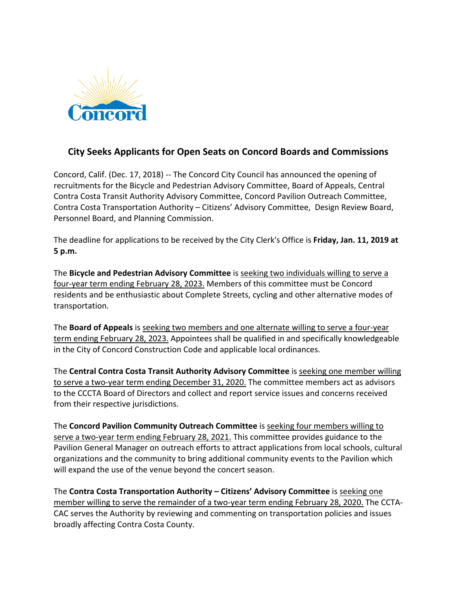

## **City Seeks Applicants for Open Seats on Concord Boards and Commissions**

Concord, Calif. (Dec. 17, 2018) -- The Concord City Council has announced the opening of recruitments for the Bicycle and Pedestrian Advisory Committee, Board of Appeals, Central Contra Costa Transit Authority Advisory Committee, Concord Pavilion Outreach Committee, Contra Costa Transportation Authority – Citizens' Advisory Committee, Design Review Board, Personnel Board, and Planning Commission.

The deadline for applications to be received by the City Clerk's Office is **Friday, Jan. 11, 2019 at 5 p.m.**

The **Bicycle and Pedestrian Advisory Committee** is seeking two individuals willing to serve a four-year term ending February 28, 2023. Members of this committee must be Concord residents and be enthusiastic about Complete Streets, cycling and other alternative modes of transportation.

The **Board of Appeals** is seeking two members and one alternate willing to serve a four-year term ending February 28, 2023. Appointees shall be qualified in and specifically knowledgeable in the City of Concord Construction Code and applicable local ordinances.

The **Central Contra Costa Transit Authority Advisory Committee** is seeking one member willing to serve a two-year term ending December 31, 2020. The committee members act as advisors to the CCCTA Board of Directors and collect and report service issues and concerns received from their respective jurisdictions.

The **Concord Pavilion Community Outreach Committee** is seeking four members willing to serve a two-year term ending February 28, 2021. This committee provides guidance to the Pavilion General Manager on outreach efforts to attract applications from local schools, cultural organizations and the community to bring additional community events to the Pavilion which will expand the use of the venue beyond the concert season.

The **Contra Costa Transportation Authority – Citizens' Advisory Committee** is seeking one member willing to serve the remainder of a two-year term ending February 28, 2020. The CCTA-CAC serves the Authority by reviewing and commenting on transportation policies and issues broadly affecting Contra Costa County.